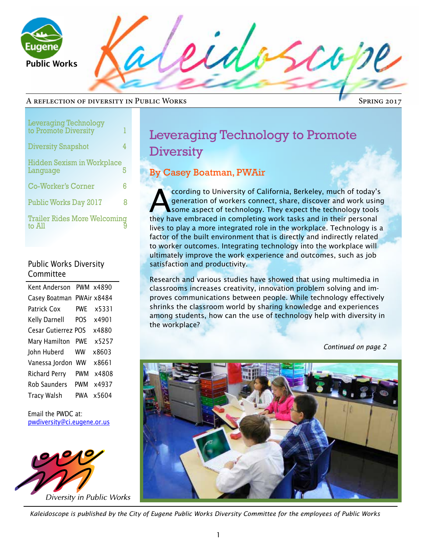

 $20$ 

#### A reflection of diversity in Public Works

Spring 2017

| <b>Leveraging Technology</b><br>to Promote Diversity | ı |
|------------------------------------------------------|---|
| <b>Diversity Snapshot</b>                            | 4 |
| <b>Hidden Sexism in Workplace</b><br>Language        | 5 |
| <b>Co-Worker's Corner</b>                            | 6 |
| <b>Public Works Day 2017</b>                         | 8 |
| <b>Trailer Rides More Welcoming</b><br>to All        |   |

#### Public Works Diversity Committee

| Kent Anderson        |            | PWM x4890   |
|----------------------|------------|-------------|
| Casey Boatman        |            | PWAir x8484 |
| Patrick Cox          | <b>PWF</b> | x5331       |
| Kelly Darnell        | POS        | x4901       |
| Cesar Gutierrez POS  |            | x4880       |
| Mary Hamilton        | <b>PWF</b> | x5257       |
| John Huberd          | <b>WW</b>  | x8603       |
| Vanessa Jordon       | <b>WW</b>  | x8661       |
| <b>Richard Perry</b> | PWM        | x4808       |
| <b>Rob Saunders</b>  | PWM        | x4937       |
| <b>Tracy Walsh</b>   | PWA        | x5604       |

Email the PWDC at: pwdiversity@ci.eugene.or.us



## Leveraging Technology to Promote **Diversity**

## By Casey Boatman, PWAir

ccording to University of California, Berkeley, much of today's<br>generation of workers connect, share, discover and work using<br>some aspect of technology. They expect the technology tools<br>that have embraced in completing wor generation of workers connect, share, discover and work using some aspect of technology. They expect the technology tools they have embraced in completing work tasks and in their personal lives to play a more integrated role in the workplace. Technology is a factor of the built environment that is directly and indirectly related to worker outcomes. Integrating technology into the workplace will ultimately improve the work experience and outcomes, such as job satisfaction and productivity.

Research and various studies have showed that using multimedia in classrooms increases creativity, innovation problem solving and improves communications between people. While technology effectively shrinks the classroom world by sharing knowledge and experiences among students, how can the use of technology help with diversity in the workplace?

*Continued on page 2*



*Kaleidoscope is published by the City of Eugene Public Works Diversity Committee for the employees of Public Works*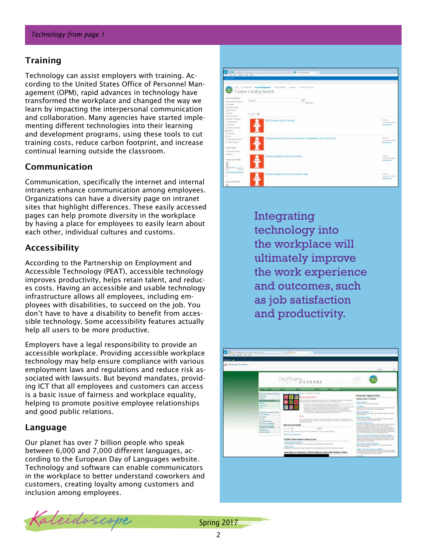### Training

Technology can assist employers with training. According to the United States Office of Personnel Management (OPM), rapid advances in technology have transformed the workplace and changed the way we learn by impacting the interpersonal communication and collaboration. Many agencies have started implementing different technologies into their learning and development programs, using these tools to cut training costs, reduce carbon footprint, and increase continual learning outside the classroom.

### Communication

Communication, specifically the internet and internal intranets enhance communication among employees. Organizations can have a diversity page on intranet sites that highlight differences. These easily accessed pages can help promote diversity in the workplace by having a place for employees to easily learn about each other, individual cultures and customs.

### Accessibility

According to the Partnership on Employment and Accessible Technology (PEAT), accessible technology improves productivity, helps retain talent, and reduces costs. Having an accessible and usable technology infrastructure allows all employees, including employees with disabilities, to succeed on the job. You don't have to have a disability to benefit from accessible technology. Some accessibility features actually help all users to be more productive.

Employers have a legal responsibility to provide an accessible workplace. Providing accessible workplace technology may help ensure compliance with various employment laws and regulations and reduce risk associated with lawsuits. But beyond mandates, providing ICT that all employees and customers can access is a basic issue of fairness and workplace equality, helping to promote positive employee relationships and good public relations.

#### Language

Our planet has over 7 billion people who speak between 6,000 and 7,000 different languages, according to the European Day of Languages website. Technology and software can enable communicators in the workplace to better understand coworkers and customers, creating loyalty among customers and inclusion among employees.



Integrating technology into the workplace will ultimately improve the work experience and outcomes, such as job satisfaction and productivity.



Kaleidoscope Spring 2017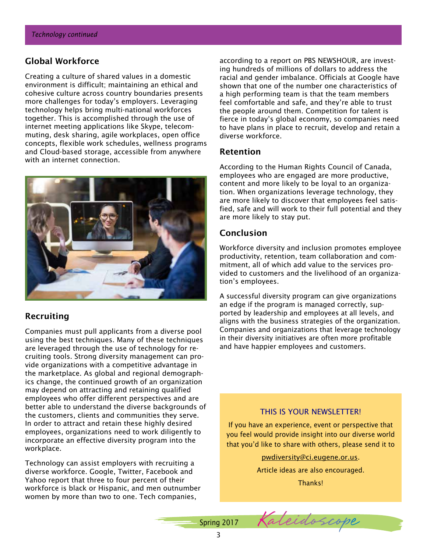## Global Workforce

Creating a culture of shared values in a domestic environment is difficult; maintaining an ethical and cohesive culture across country boundaries presents more challenges for today's employers. Leveraging technology helps bring multi-national workforces together. This is accomplished through the use of internet meeting applications like Skype, telecommuting, desk sharing, agile workplaces, open office concepts, flexible work schedules, wellness programs and Cloud-based storage, accessible from anywhere with an internet connection.



## Recruiting

Companies must pull applicants from a diverse pool using the best techniques. Many of these techniques are leveraged through the use of technology for recruiting tools. Strong diversity management can provide organizations with a competitive advantage in the marketplace. As global and regional demographics change, the continued growth of an organization may depend on attracting and retaining qualified employees who offer different perspectives and are better able to understand the diverse backgrounds of the customers, clients and communities they serve. In order to attract and retain these highly desired employees, organizations need to work diligently to incorporate an effective diversity program into the workplace.

Technology can assist employers with recruiting a diverse workforce. Google, Twitter, Facebook and Yahoo report that three to four percent of their workforce is black or Hispanic, and men outnumber women by more than two to one. Tech companies,

according to a report on PBS NEWSHOUR, are investing hundreds of millions of dollars to address the racial and gender imbalance. Officials at Google have shown that one of the number one characteristics of a high performing team is that the team members feel comfortable and safe, and they're able to trust the people around them. Competition for talent is fierce in today's global economy, so companies need to have plans in place to recruit, develop and retain a diverse workforce.

#### Retention

According to the Human Rights Council of Canada, employees who are engaged are more productive, content and more likely to be loyal to an organization. When organizations leverage technology, they are more likely to discover that employees feel satisfied, safe and will work to their full potential and they are more likely to stay put.

### Conclusion

Workforce diversity and inclusion promotes employee productivity, retention, team collaboration and commitment, all of which add value to the services provided to customers and the livelihood of an organization's employees.

A successful diversity program can give organizations an edge if the program is managed correctly, supported by leadership and employees at all levels, and aligns with the business strategies of the organization. Companies and organizations that leverage technology in their diversity initiatives are often more profitable and have happier employees and customers.

#### THIS IS YOUR NEWSLETTER!

If you have an experience, event or perspective that you feel would provide insight into our diverse world that you'd like to share with others, please send it to

pwdiversity@ci.eugene.or.us.

Article ideas are also encouraged.

Thanks!

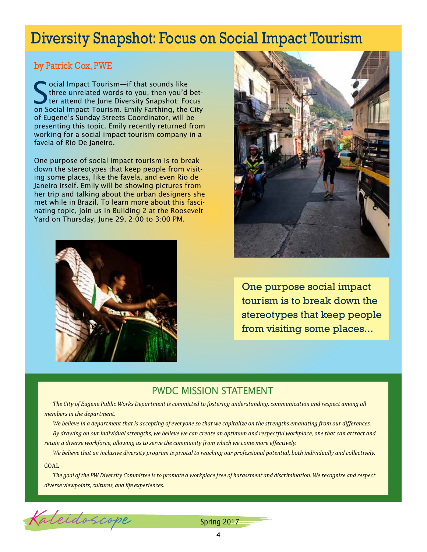## Diversity Snapshot: Focus on Social Impact Tourism

## by Patrick Cox, PWE

Social Impact Tourism—if that sounds like<br>three unrelated words to you, then you'd<br>ter attend the June Diversity Snapshot: For<br>social Impact Tourism Emily Farthing, the three unrelated words to you, then you'd better attend the June Diversity Snapshot: Focus on Social Impact Tourism. Emily Farthing, the City of Eugene's Sunday Streets Coordinator, will be presenting this topic. Emily recently returned from working for a social impact tourism company in a favela of Rio De Janeiro.

One purpose of social impact tourism is to break down the stereotypes that keep people from visiting some places, like the favela, and even Rio de Janeiro itself. Emily will be showing pictures from her trip and talking about the urban designers she met while in Brazil. To learn more about this fascinating topic, join us in Building 2 at the Roosevelt Yard on Thursday, June 29, 2:00 to 3:00 PM.





One purpose social impact tourism is to break down the stereotypes that keep people from visiting some places...

## PWDC MISSION STATEMENT

*The City of Eugene Public Works Department is committed to fostering understanding, communication and respect among all members in the department.* 

*We believe in a department that is accepting of everyone so that we capitalize on the strengths emanating from our differences. By drawing on our individual strengths, we believe we can create an optimum and respectful workplace, one that can attract and retain a diverse workforce, allowing us to serve the community from which we come more effectively.*

*We believe that an inclusive diversity program is pivotal to reaching our professional potential, both individually and collectively.*

#### GOAL

*The goal of the PW Diversity Committee is to promote a workplace free of harassment and discrimination. We recognize and respect diverse viewpoints, cultures, and life experiences.*



Spring 2017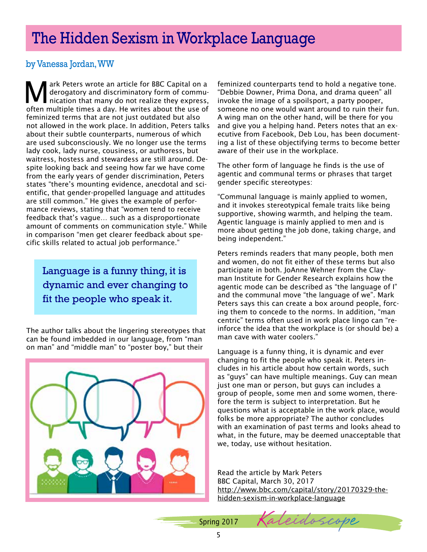# The Hidden Sexism in Workplace Language

## by Vanessa Jordan, WW

Mark Peters wrote an article for BBC Capital on a<br>derogatory and discriminatory form of commu-<br>nication that many do not realize they express, derogatory and discriminatory form of communication that many do not realize they express, often multiple times a day. He writes about the use of feminized terms that are not just outdated but also not allowed in the work place. In addition, Peters talks about their subtle counterparts, numerous of which are used subconsciously. We no longer use the terms lady cook, lady nurse, cousiness, or authoress, but waitress, hostess and stewardess are still around. Despite looking back and seeing how far we have come from the early years of gender discrimination, Peters states "there's mounting evidence, anecdotal and scientific, that gender-propelled language and attitudes are still common." He gives the example of performance reviews, stating that "women tend to receive feedback that's vague… such as a disproportionate amount of comments on communication style." While in comparison "men get clearer feedback about specific skills related to actual job performance."

Language is a funny thing, it is dynamic and ever changing to fit the people who speak it.

The author talks about the lingering stereotypes that can be found imbedded in our language, from "man on man" and "middle man" to "poster boy," but their



feminized counterparts tend to hold a negative tone. "Debbie Downer, Prima Dona, and drama queen" all invoke the image of a spoilsport, a party pooper, someone no one would want around to ruin their fun. A wing man on the other hand, will be there for you and give you a helping hand. Peters notes that an executive from Facebook, Deb Lou, has been documenting a list of these objectifying terms to become better aware of their use in the workplace.

The other form of language he finds is the use of agentic and communal terms or phrases that target gender specific stereotypes:

"Communal language is mainly applied to women, and it invokes stereotypical female traits like being supportive, showing warmth, and helping the team. Agentic language is mainly applied to men and is more about getting the job done, taking charge, and being independent."

Peters reminds readers that many people, both men and women, do not fit either of these terms but also participate in both. JoAnne Wehner from the Clayman Institute for Gender Research explains how the agentic mode can be described as "the language of I" and the communal move "the language of we". Mark Peters says this can create a box around people, forcing them to concede to the norms. In addition, "man centric" terms often used in work place lingo can "reinforce the idea that the workplace is (or should be) a man cave with water coolers."

Language is a funny thing, it is dynamic and ever changing to fit the people who speak it. Peters includes in his article about how certain words, such as "guys" can have multiple meanings. Guy can mean just one man or person, but guys can includes a group of people, some men and some women, therefore the term is subject to interpretation. But he questions what is acceptable in the work place, would folks be more appropriate? The author concludes with an examination of past terms and looks ahead to what, in the future, may be deemed unacceptable that we, today, use without hesitation.

Read the article by Mark Peters BBC Capital, March 30, 2017 http://www.bbc.com/capital/story/20170329-thehidden-sexism-in-workplace-language

Spring 2017

Leido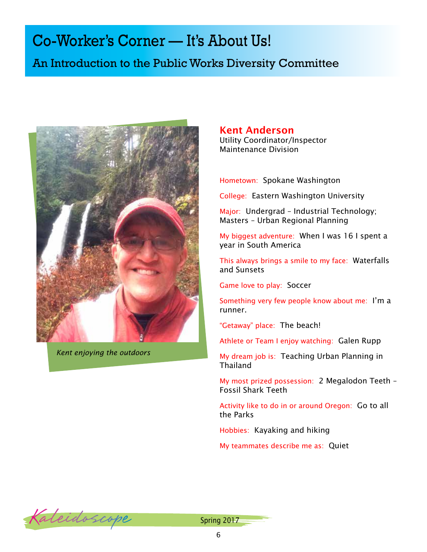# Co-Worker's Corner — It's About Us!

## An Introduction to the Public Works Diversity Committee



*Kent enjoying the outdoors*

### Kent Anderson

Utility Coordinator/Inspector Maintenance Division

Hometown: Spokane Washington

College: Eastern Washington University

Major: Undergrad – Industrial Technology; Masters – Urban Regional Planning

My biggest adventure: When I was 16 I spent a year in South America

This always brings a smile to my face: Waterfalls and Sunsets

Game love to play: Soccer

Something very few people know about me: I'm a runner.

"Getaway" place: The beach!

Athlete or Team I enjoy watching: Galen Rupp

My dream job is: Teaching Urban Planning in Thailand

My most prized possession: 2 Megalodon Teeth – Fossil Shark Teeth

Activity like to do in or around Oregon: Go to all the Parks

Hobbies: Kayaking and hiking

My teammates describe me as: Quiet



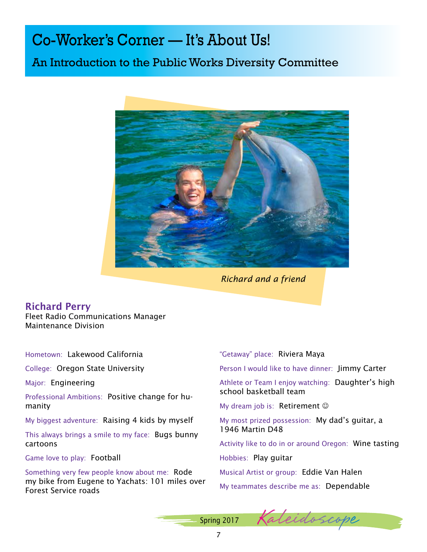# Co-Worker's Corner — It's About Us!

## An Introduction to the Public Works Diversity Committee



*Richard and a friend*

## Richard Perry

Fleet Radio Communications Manager Maintenance Division

Hometown: Lakewood California

College: Oregon State University

Major: Engineering

Professional Ambitions: Positive change for humanity

My biggest adventure: Raising 4 kids by myself

This always brings a smile to my face: Bugs bunny cartoons

Game love to play: Football

Something very few people know about me: Rode my bike from Eugene to Yachats: 101 miles over Forest Service roads

"Getaway" place: Riviera Maya

Person I would like to have dinner: Jimmy Carter

Athlete or Team I enjoy watching: Daughter's high school basketball team

My dream job is: Retirement  $\odot$ 

My most prized possession: My dad's guitar, a 1946 Martin D48

Activity like to do in or around Oregon: Wine tasting

Hobbies: Play guitar

Musical Artist or group: Eddie Van Halen

My teammates describe me as: Dependable

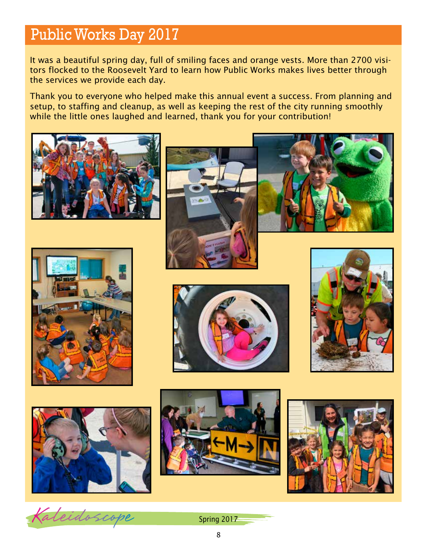# Public Works Day 2017

It was a beautiful spring day, full of smiling faces and orange vests. More than 2700 visitors flocked to the Roosevelt Yard to learn how Public Works makes lives better through the services we provide each day.

Thank you to everyone who helped make this annual event a success. From planning and setup, to staffing and cleanup, as well as keeping the rest of the city running smoothly while the little ones laughed and learned, thank you for your contribution!